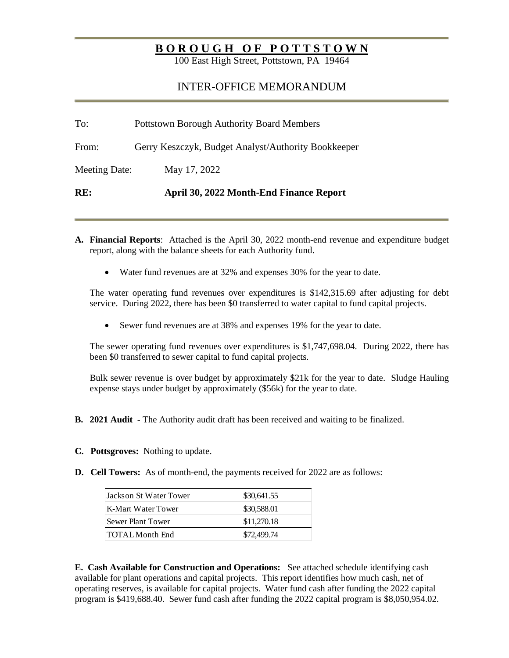## **B O R O U G H O F P O T T S T O W N**

100 East High Street, Pottstown, PA 19464

## INTER-OFFICE MEMORANDUM

| RE:           | April 30, 2022 Month-End Finance Report             |
|---------------|-----------------------------------------------------|
| Meeting Date: | May 17, 2022                                        |
| From:         | Gerry Keszczyk, Budget Analyst/Authority Bookkeeper |
| To:           | <b>Pottstown Borough Authority Board Members</b>    |

- **A. Financial Reports**: Attached is the April 30, 2022 month-end revenue and expenditure budget report, along with the balance sheets for each Authority fund.
	- Water fund revenues are at 32% and expenses 30% for the year to date.

The water operating fund revenues over expenditures is \$142,315.69 after adjusting for debt service. During 2022, there has been \$0 transferred to water capital to fund capital projects.

• Sewer fund revenues are at 38% and expenses 19% for the year to date.

The sewer operating fund revenues over expenditures is \$1,747,698.04. During 2022, there has been \$0 transferred to sewer capital to fund capital projects.

Bulk sewer revenue is over budget by approximately \$21k for the year to date. Sludge Hauling expense stays under budget by approximately (\$56k) for the year to date.

- **B. 2021 Audit** The Authority audit draft has been received and waiting to be finalized.
- **C. Pottsgroves:** Nothing to update.
- **D.** Cell Towers: As of month-end, the payments received for 2022 are as follows:

| Jackson St Water Tower | \$30,641.55 |
|------------------------|-------------|
| K-Mart Water Tower     | \$30,588.01 |
| Sewer Plant Tower      | \$11,270.18 |
| TOTAL Month End        | \$72,499.74 |

**E. Cash Available for Construction and Operations:** See attached schedule identifying cash available for plant operations and capital projects. This report identifies how much cash, net of operating reserves, is available for capital projects. Water fund cash after funding the 2022 capital program is \$419,688.40. Sewer fund cash after funding the 2022 capital program is \$8,050,954.02.